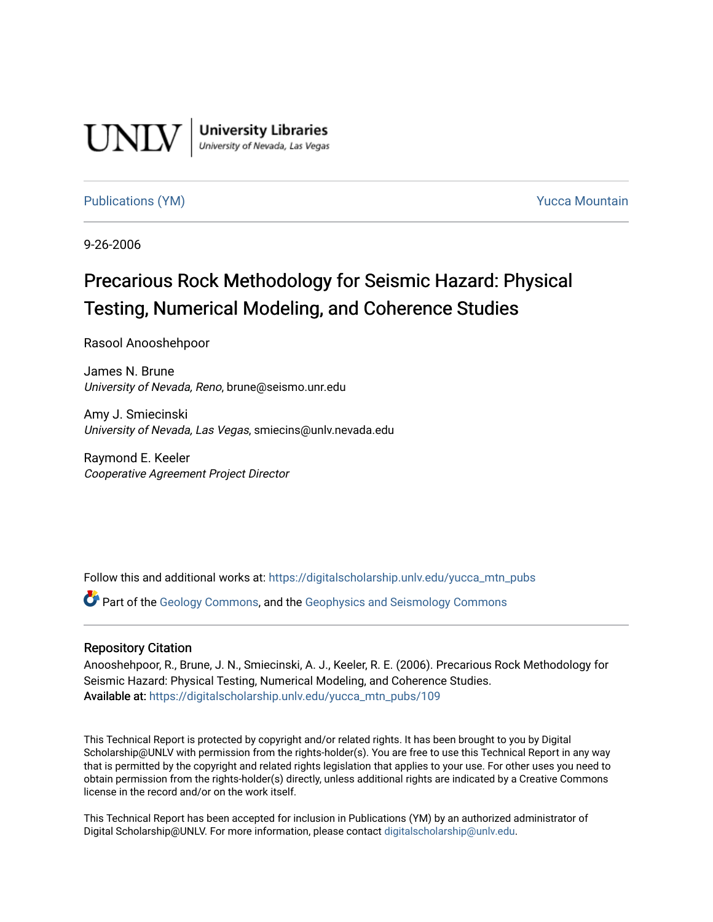

**University Libraries**<br>University of Nevada, Las Vegas

#### [Publications \(YM\)](https://digitalscholarship.unlv.edu/yucca_mtn_pubs) **Publications (YM) Publications (YM) Publications** (*YM*)

9-26-2006

# Precarious Rock Methodology for Seismic Hazard: Physical Testing, Numerical Modeling, and Coherence Studies

Rasool Anooshehpoor

James N. Brune University of Nevada, Reno, brune@seismo.unr.edu

Amy J. Smiecinski University of Nevada, Las Vegas, smiecins@unlv.nevada.edu

Raymond E. Keeler Cooperative Agreement Project Director

Follow this and additional works at: [https://digitalscholarship.unlv.edu/yucca\\_mtn\\_pubs](https://digitalscholarship.unlv.edu/yucca_mtn_pubs?utm_source=digitalscholarship.unlv.edu%2Fyucca_mtn_pubs%2F109&utm_medium=PDF&utm_campaign=PDFCoverPages)

Part of the [Geology Commons](http://network.bepress.com/hgg/discipline/156?utm_source=digitalscholarship.unlv.edu%2Fyucca_mtn_pubs%2F109&utm_medium=PDF&utm_campaign=PDFCoverPages), and the [Geophysics and Seismology Commons](http://network.bepress.com/hgg/discipline/158?utm_source=digitalscholarship.unlv.edu%2Fyucca_mtn_pubs%2F109&utm_medium=PDF&utm_campaign=PDFCoverPages) 

#### Repository Citation

Anooshehpoor, R., Brune, J. N., Smiecinski, A. J., Keeler, R. E. (2006). Precarious Rock Methodology for Seismic Hazard: Physical Testing, Numerical Modeling, and Coherence Studies. Available at: [https://digitalscholarship.unlv.edu/yucca\\_mtn\\_pubs/109](https://digitalscholarship.unlv.edu/yucca_mtn_pubs/109) 

This Technical Report is protected by copyright and/or related rights. It has been brought to you by Digital Scholarship@UNLV with permission from the rights-holder(s). You are free to use this Technical Report in any way that is permitted by the copyright and related rights legislation that applies to your use. For other uses you need to obtain permission from the rights-holder(s) directly, unless additional rights are indicated by a Creative Commons license in the record and/or on the work itself.

This Technical Report has been accepted for inclusion in Publications (YM) by an authorized administrator of Digital Scholarship@UNLV. For more information, please contact [digitalscholarship@unlv.edu](mailto:digitalscholarship@unlv.edu).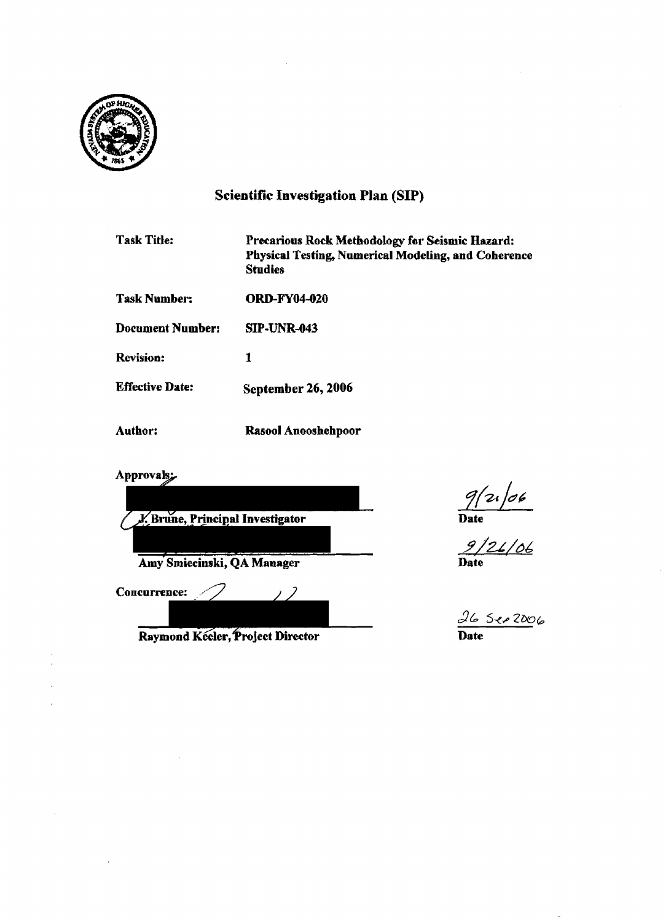

### Scientific Investigation Plan (SIP)

- Task Title: Precarious Rock Methodology for Seismic Hazard: Physical Testing, Numerical Modeling, and Coherence **Studies**
- Task Number: ORD-F¥04-020
- Document Number: SIP-UNR-043
- Revision: 1
- Effective Date: September 26, 2006
- Author: Rasool Anooshehpoor

Approvals;



Raymond Keeler, Project Director

 $\frac{265006}{\text{Date}}$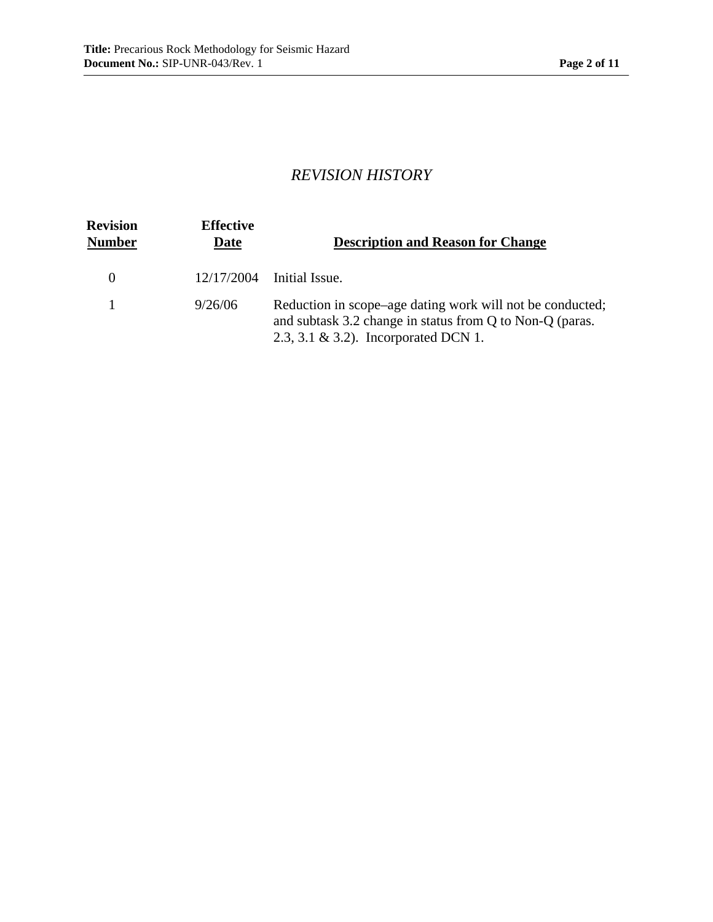# *REVISION HISTORY*

| <b>Revision</b><br><b>Number</b> | <b>Effective</b><br>Date | <b>Description and Reason for Change</b>                                                                                                                          |
|----------------------------------|--------------------------|-------------------------------------------------------------------------------------------------------------------------------------------------------------------|
| $\Omega$                         | 12/17/2004               | Initial Issue.                                                                                                                                                    |
|                                  | 9/26/06                  | Reduction in scope–age dating work will not be conducted;<br>and subtask 3.2 change in status from Q to Non-Q (paras.<br>$2.3, 3.1 \& 3.2$ ). Incorporated DCN 1. |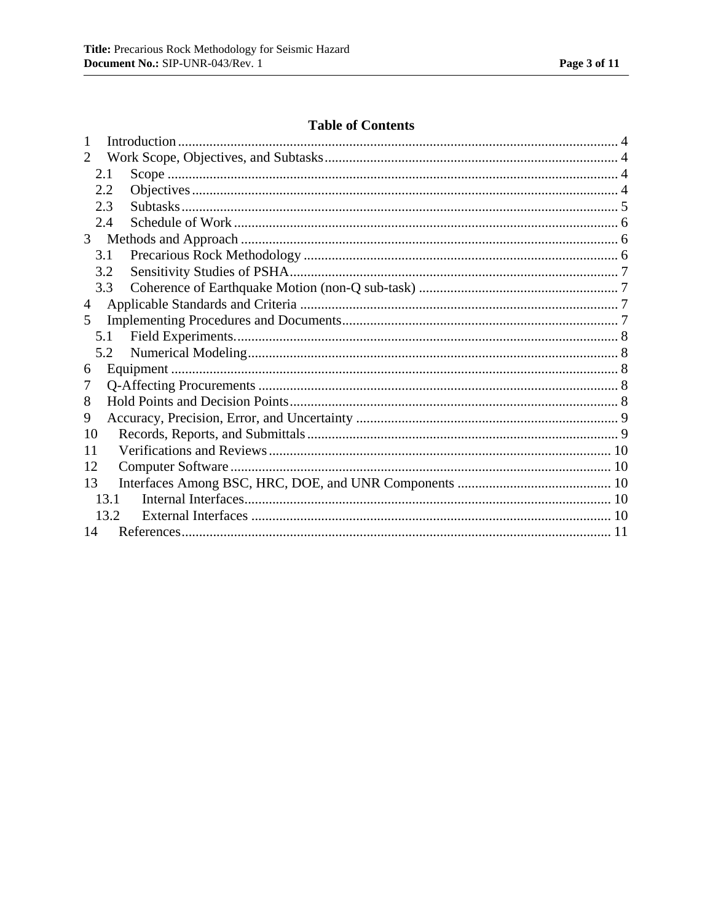### **Table of Contents**

| 1                     |      |  |  |  |
|-----------------------|------|--|--|--|
| $\mathcal{D}_{\cdot}$ |      |  |  |  |
|                       | 2.1  |  |  |  |
|                       | 2.2  |  |  |  |
|                       | 2.3  |  |  |  |
|                       | 2.4  |  |  |  |
| 3 <sup>7</sup>        |      |  |  |  |
|                       | 3.1  |  |  |  |
|                       | 3.2  |  |  |  |
|                       | 3.3  |  |  |  |
| $\overline{4}$        |      |  |  |  |
| 5                     |      |  |  |  |
|                       | 5.1  |  |  |  |
|                       | 5.2  |  |  |  |
| 6                     |      |  |  |  |
| 7                     |      |  |  |  |
| 8                     |      |  |  |  |
| 9                     |      |  |  |  |
| 10                    |      |  |  |  |
| 11                    |      |  |  |  |
|                       | 12   |  |  |  |
| 13                    |      |  |  |  |
| 13.1                  |      |  |  |  |
|                       | 13.2 |  |  |  |
| 14                    |      |  |  |  |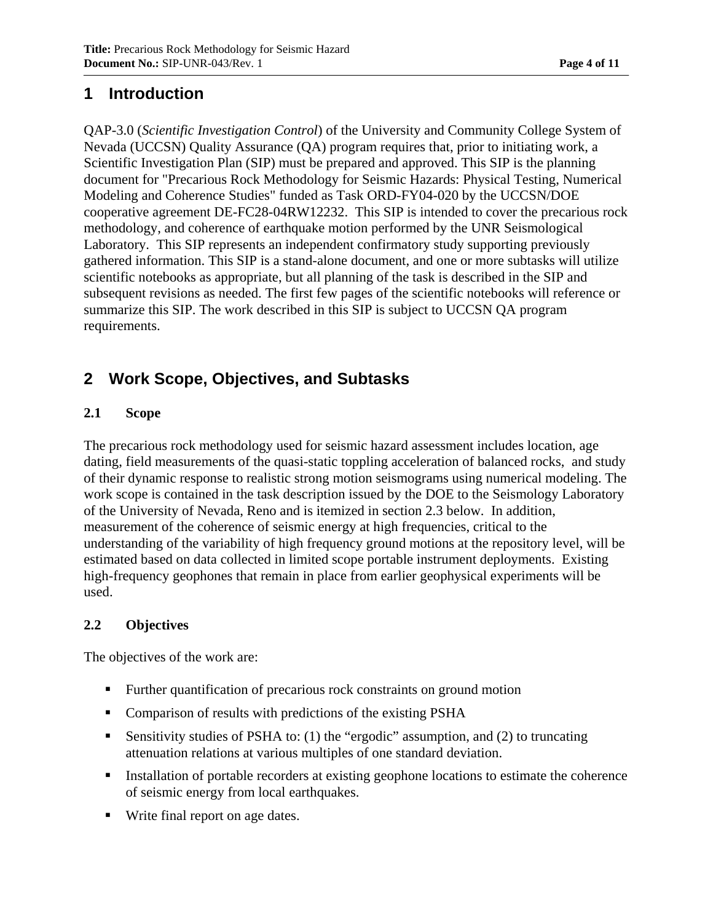## **1 Introduction**

QAP-3.0 (*Scientific Investigation Control*) of the University and Community College System of Nevada (UCCSN) Quality Assurance (QA) program requires that, prior to initiating work, a Scientific Investigation Plan (SIP) must be prepared and approved. This SIP is the planning document for "Precarious Rock Methodology for Seismic Hazards: Physical Testing, Numerical Modeling and Coherence Studies" funded as Task ORD-FY04-020 by the UCCSN/DOE cooperative agreement DE-FC28-04RW12232. This SIP is intended to cover the precarious rock methodology, and coherence of earthquake motion performed by the UNR Seismological Laboratory. This SIP represents an independent confirmatory study supporting previously gathered information. This SIP is a stand-alone document, and one or more subtasks will utilize scientific notebooks as appropriate, but all planning of the task is described in the SIP and subsequent revisions as needed. The first few pages of the scientific notebooks will reference or summarize this SIP. The work described in this SIP is subject to UCCSN QA program requirements.

# **2 Work Scope, Objectives, and Subtasks**

### **2.1 Scope**

The precarious rock methodology used for seismic hazard assessment includes location, age dating, field measurements of the quasi-static toppling acceleration of balanced rocks, and study of their dynamic response to realistic strong motion seismograms using numerical modeling. The work scope is contained in the task description issued by the DOE to the Seismology Laboratory of the University of Nevada, Reno and is itemized in section 2.3 below. In addition, measurement of the coherence of seismic energy at high frequencies, critical to the understanding of the variability of high frequency ground motions at the repository level, will be estimated based on data collected in limited scope portable instrument deployments. Existing high-frequency geophones that remain in place from earlier geophysical experiments will be used.

#### **2.2 Objectives**

The objectives of the work are:

- **Further quantification of precarious rock constraints on ground motion**
- Comparison of results with predictions of the existing PSHA
- Sensitivity studies of PSHA to: (1) the "ergodic" assumption, and (2) to truncating attenuation relations at various multiples of one standard deviation.
- Installation of portable recorders at existing geophone locations to estimate the coherence of seismic energy from local earthquakes.
- Write final report on age dates.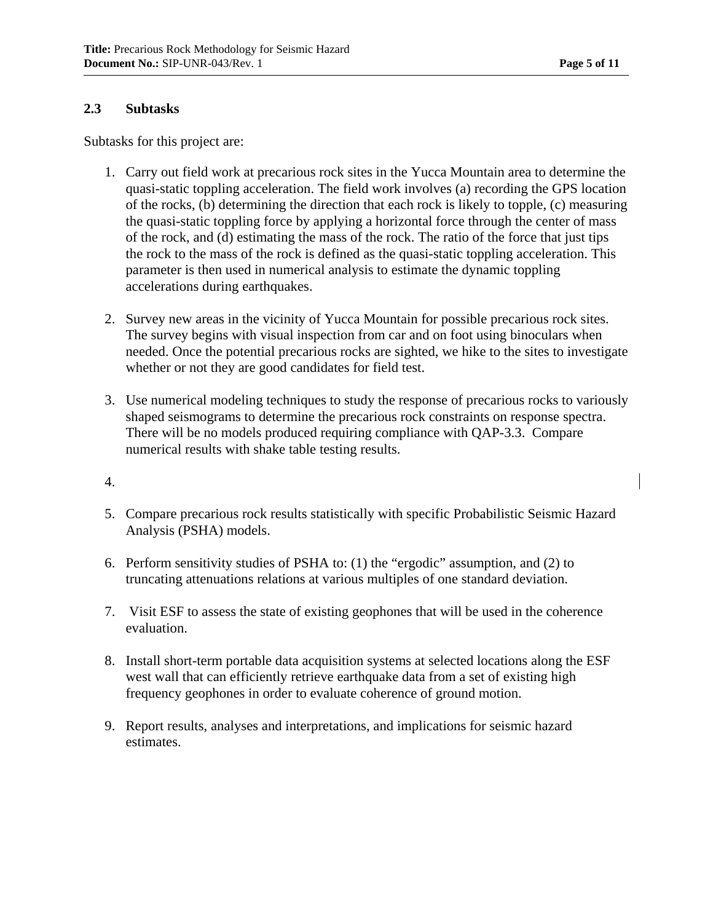#### **2.3 Subtasks**

Subtasks for this project are:

- 1. Carry out field work at precarious rock sites in the Yucca Mountain area to determine the quasi-static toppling acceleration. The field work involves (a) recording the GPS location of the rocks, (b) determining the direction that each rock is likely to topple, (c) measuring the quasi-static toppling force by applying a horizontal force through the center of mass of the rock, and (d) estimating the mass of the rock. The ratio of the force that just tips the rock to the mass of the rock is defined as the quasi-static toppling acceleration. This parameter is then used in numerical analysis to estimate the dynamic toppling accelerations during earthquakes.
- 2. Survey new areas in the vicinity of Yucca Mountain for possible precarious rock sites. The survey begins with visual inspection from car and on foot using binoculars when needed. Once the potential precarious rocks are sighted, we hike to the sites to investigate whether or not they are good candidates for field test.
- 3. Use numerical modeling techniques to study the response of precarious rocks to variously shaped seismograms to determine the precarious rock constraints on response spectra. There will be no models produced requiring compliance with QAP-3.3. Compare numerical results with shake table testing results.
- 4.
- 5. Compare precarious rock results statistically with specific Probabilistic Seismic Hazard Analysis (PSHA) models.
- 6. Perform sensitivity studies of PSHA to: (1) the "ergodic" assumption, and (2) to truncating attenuations relations at various multiples of one standard deviation.
- 7. Visit ESF to assess the state of existing geophones that will be used in the coherence evaluation.
- 8. Install short-term portable data acquisition systems at selected locations along the ESF west wall that can efficiently retrieve earthquake data from a set of existing high frequency geophones in order to evaluate coherence of ground motion.
- 9. Report results, analyses and interpretations, and implications for seismic hazard estimates.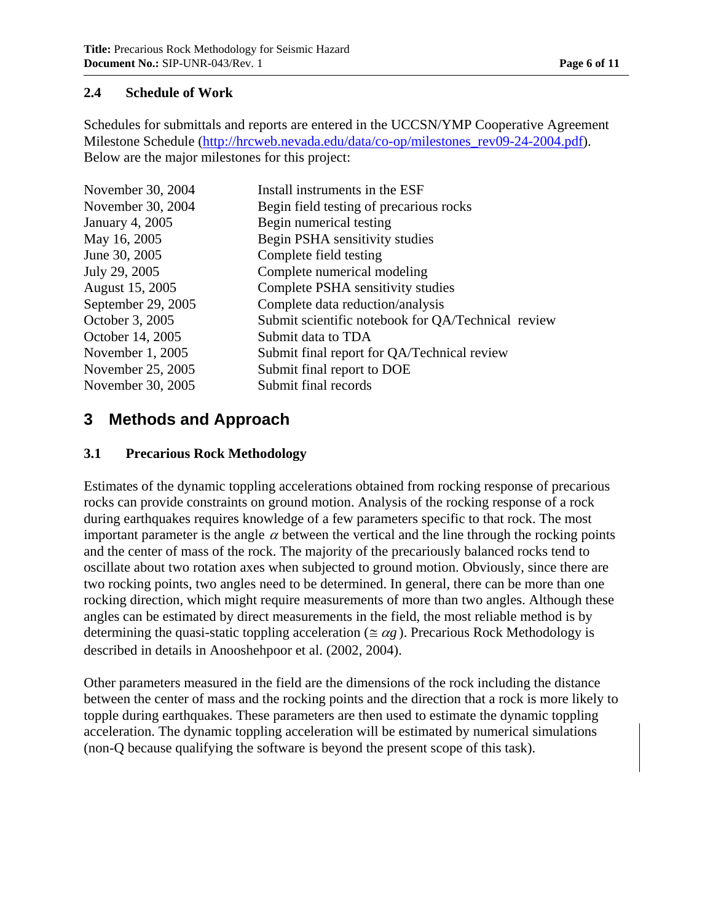### **2.4 Schedule of Work**

Schedules for submittals and reports are entered in the UCCSN/YMP Cooperative Agreement Milestone Schedule (http://hrcweb.nevada.edu/data/co-op/milestones\_rev09-24-2004.pdf). Below are the major milestones for this project:

| November 30, 2004  | Install instruments in the ESF                     |
|--------------------|----------------------------------------------------|
| November 30, 2004  | Begin field testing of precarious rocks            |
| January 4, 2005    | Begin numerical testing                            |
| May 16, 2005       | Begin PSHA sensitivity studies                     |
| June 30, 2005      | Complete field testing                             |
| July 29, 2005      | Complete numerical modeling                        |
| August 15, 2005    | Complete PSHA sensitivity studies                  |
| September 29, 2005 | Complete data reduction/analysis                   |
| October 3, 2005    | Submit scientific notebook for QA/Technical review |
| October 14, 2005   | Submit data to TDA                                 |
| November 1, 2005   | Submit final report for QA/Technical review        |
| November 25, 2005  | Submit final report to DOE                         |
| November 30, 2005  | Submit final records                               |

# **3 Methods and Approach**

### **3.1 Precarious Rock Methodology**

Estimates of the dynamic toppling accelerations obtained from rocking response of precarious rocks can provide constraints on ground motion. Analysis of the rocking response of a rock during earthquakes requires knowledge of a few parameters specific to that rock. The most important parameter is the angle  $\alpha$  between the vertical and the line through the rocking points and the center of mass of the rock. The majority of the precariously balanced rocks tend to oscillate about two rotation axes when subjected to ground motion. Obviously, since there are two rocking points, two angles need to be determined. In general, there can be more than one rocking direction, which might require measurements of more than two angles. Although these angles can be estimated by direct measurements in the field, the most reliable method is by determining the quasi-static toppling acceleration ( $\leq \alpha g$ ). Precarious Rock Methodology is described in details in Anooshehpoor et al. (2002, 2004).

Other parameters measured in the field are the dimensions of the rock including the distance between the center of mass and the rocking points and the direction that a rock is more likely to topple during earthquakes. These parameters are then used to estimate the dynamic toppling acceleration. The dynamic toppling acceleration will be estimated by numerical simulations (non-Q because qualifying the software is beyond the present scope of this task).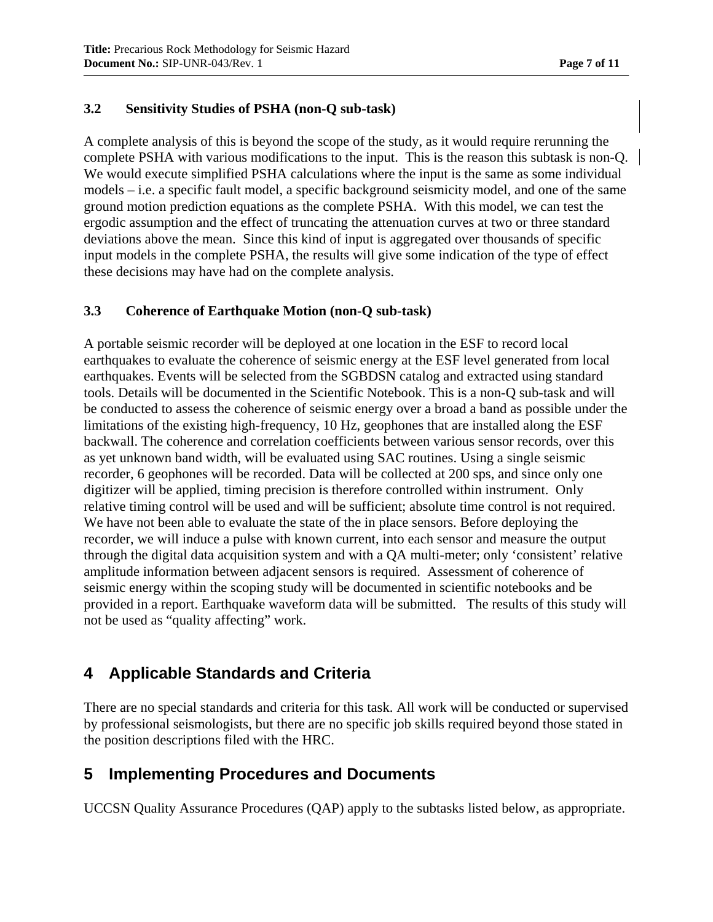### **3.2 Sensitivity Studies of PSHA (non-Q sub-task)**

A complete analysis of this is beyond the scope of the study, as it would require rerunning the complete PSHA with various modifications to the input. This is the reason this subtask is non-Q. We would execute simplified PSHA calculations where the input is the same as some individual models – i.e. a specific fault model, a specific background seismicity model, and one of the same ground motion prediction equations as the complete PSHA. With this model, we can test the ergodic assumption and the effect of truncating the attenuation curves at two or three standard deviations above the mean. Since this kind of input is aggregated over thousands of specific input models in the complete PSHA, the results will give some indication of the type of effect these decisions may have had on the complete analysis.

### **3.3 Coherence of Earthquake Motion (non-Q sub-task)**

A portable seismic recorder will be deployed at one location in the ESF to record local earthquakes to evaluate the coherence of seismic energy at the ESF level generated from local earthquakes. Events will be selected from the SGBDSN catalog and extracted using standard tools. Details will be documented in the Scientific Notebook. This is a non-Q sub-task and will be conducted to assess the coherence of seismic energy over a broad a band as possible under the limitations of the existing high-frequency, 10 Hz, geophones that are installed along the ESF backwall. The coherence and correlation coefficients between various sensor records, over this as yet unknown band width, will be evaluated using SAC routines. Using a single seismic recorder, 6 geophones will be recorded. Data will be collected at 200 sps, and since only one digitizer will be applied, timing precision is therefore controlled within instrument. Only relative timing control will be used and will be sufficient; absolute time control is not required. We have not been able to evaluate the state of the in place sensors. Before deploying the recorder, we will induce a pulse with known current, into each sensor and measure the output through the digital data acquisition system and with a QA multi-meter; only 'consistent' relative amplitude information between adjacent sensors is required. Assessment of coherence of seismic energy within the scoping study will be documented in scientific notebooks and be provided in a report. Earthquake waveform data will be submitted. The results of this study will not be used as "quality affecting" work.

# **4 Applicable Standards and Criteria**

There are no special standards and criteria for this task. All work will be conducted or supervised by professional seismologists, but there are no specific job skills required beyond those stated in the position descriptions filed with the HRC.

### **5 Implementing Procedures and Documents**

UCCSN Quality Assurance Procedures (QAP) apply to the subtasks listed below, as appropriate.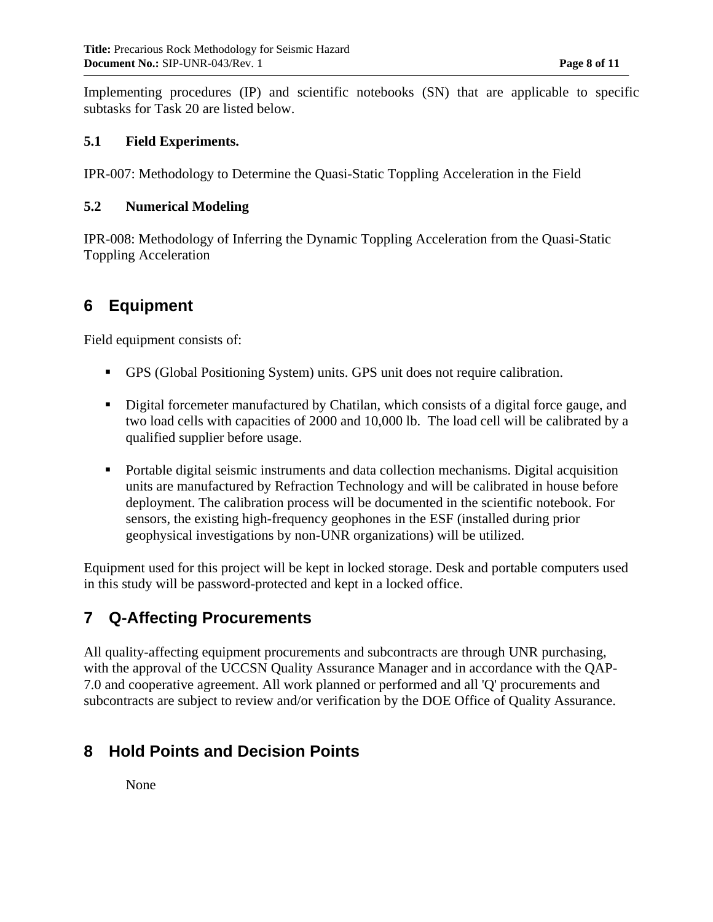Implementing procedures (IP) and scientific notebooks (SN) that are applicable to specific subtasks for Task 20 are listed below.

#### **5.1 Field Experiments.**

IPR-007: Methodology to Determine the Quasi-Static Toppling Acceleration in the Field

#### **5.2 Numerical Modeling**

IPR-008: Methodology of Inferring the Dynamic Toppling Acceleration from the Quasi-Static Toppling Acceleration

# **6 Equipment**

Field equipment consists of:

- GPS (Global Positioning System) units. GPS unit does not require calibration.
- Digital forcemeter manufactured by Chatilan, which consists of a digital force gauge, and two load cells with capacities of 2000 and 10,000 lb. The load cell will be calibrated by a qualified supplier before usage.
- **Portable digital seismic instruments and data collection mechanisms. Digital acquisition** units are manufactured by Refraction Technology and will be calibrated in house before deployment. The calibration process will be documented in the scientific notebook. For sensors, the existing high-frequency geophones in the ESF (installed during prior geophysical investigations by non-UNR organizations) will be utilized.

Equipment used for this project will be kept in locked storage. Desk and portable computers used in this study will be password-protected and kept in a locked office.

### **7 Q-Affecting Procurements**

All quality-affecting equipment procurements and subcontracts are through UNR purchasing, with the approval of the UCCSN Quality Assurance Manager and in accordance with the QAP-7.0 and cooperative agreement. All work planned or performed and all 'Q' procurements and subcontracts are subject to review and/or verification by the DOE Office of Quality Assurance.

### **8 Hold Points and Decision Points**

None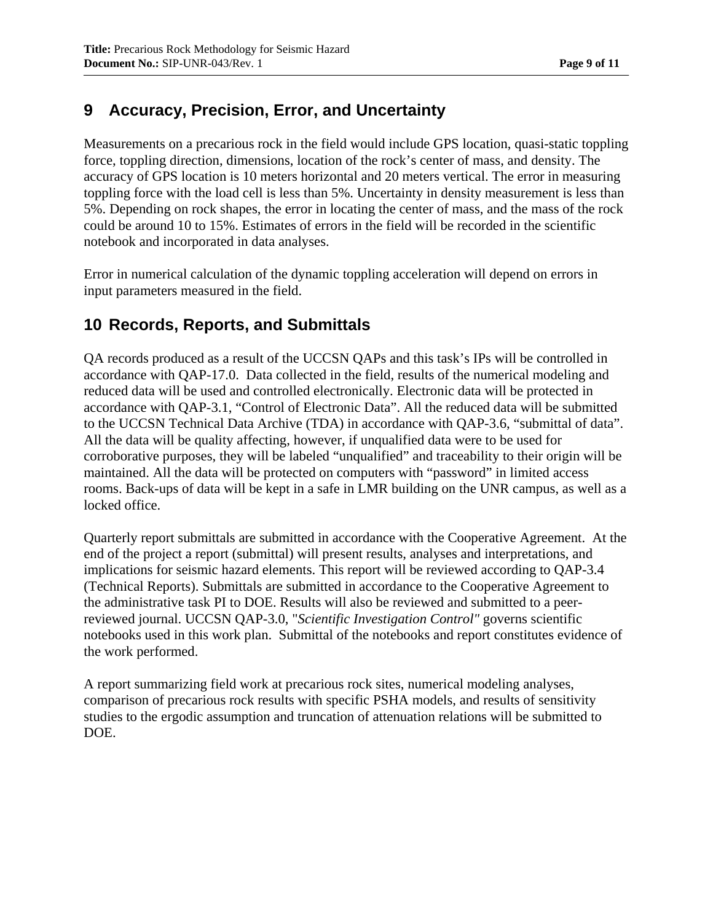# **9 Accuracy, Precision, Error, and Uncertainty**

Measurements on a precarious rock in the field would include GPS location, quasi-static toppling force, toppling direction, dimensions, location of the rock's center of mass, and density. The accuracy of GPS location is 10 meters horizontal and 20 meters vertical. The error in measuring toppling force with the load cell is less than 5%. Uncertainty in density measurement is less than 5%. Depending on rock shapes, the error in locating the center of mass, and the mass of the rock could be around 10 to 15%. Estimates of errors in the field will be recorded in the scientific notebook and incorporated in data analyses.

Error in numerical calculation of the dynamic toppling acceleration will depend on errors in input parameters measured in the field.

# **10 Records, Reports, and Submittals**

QA records produced as a result of the UCCSN QAPs and this task's IPs will be controlled in accordance with QAP-17.0. Data collected in the field, results of the numerical modeling and reduced data will be used and controlled electronically. Electronic data will be protected in accordance with QAP-3.1, "Control of Electronic Data". All the reduced data will be submitted to the UCCSN Technical Data Archive (TDA) in accordance with QAP-3.6, "submittal of data". All the data will be quality affecting, however, if unqualified data were to be used for corroborative purposes, they will be labeled "unqualified" and traceability to their origin will be maintained. All the data will be protected on computers with "password" in limited access rooms. Back-ups of data will be kept in a safe in LMR building on the UNR campus, as well as a locked office.

Quarterly report submittals are submitted in accordance with the Cooperative Agreement. At the end of the project a report (submittal) will present results, analyses and interpretations, and implications for seismic hazard elements. This report will be reviewed according to QAP-3.4 (Technical Reports). Submittals are submitted in accordance to the Cooperative Agreement to the administrative task PI to DOE. Results will also be reviewed and submitted to a peerreviewed journal. UCCSN QAP-3.0, "*Scientific Investigation Control"* governs scientific notebooks used in this work plan. Submittal of the notebooks and report constitutes evidence of the work performed.

A report summarizing field work at precarious rock sites, numerical modeling analyses, comparison of precarious rock results with specific PSHA models, and results of sensitivity studies to the ergodic assumption and truncation of attenuation relations will be submitted to DOE.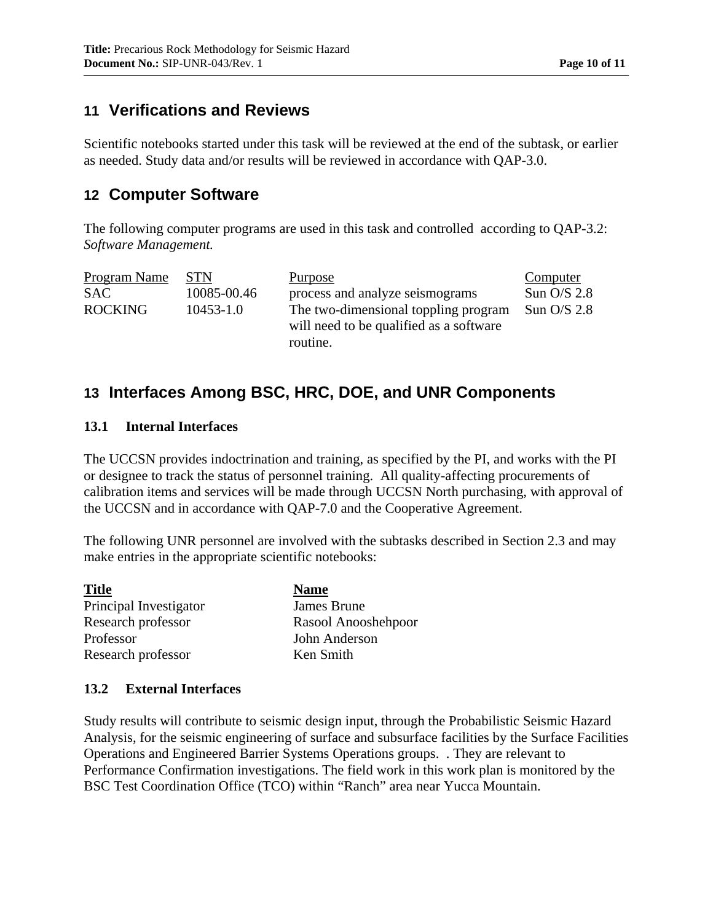### **11 Verifications and Reviews**

Scientific notebooks started under this task will be reviewed at the end of the subtask, or earlier as needed. Study data and/or results will be reviewed in accordance with QAP-3.0.

### **12 Computer Software**

The following computer programs are used in this task and controlled according to QAP-3.2: *Software Management.* 

| Program Name   | <b>STN</b>    | Purpose                                                                         | Computer      |
|----------------|---------------|---------------------------------------------------------------------------------|---------------|
| <b>SAC</b>     | 10085-00.46   | process and analyze seismograms                                                 | Sun $O/S$ 2.8 |
| <b>ROCKING</b> | $10453 - 1.0$ | The two-dimensional toppling program<br>will need to be qualified as a software | Sun $O/S$ 2.8 |
|                |               | routine.                                                                        |               |

# **13 Interfaces Among BSC, HRC, DOE, and UNR Components**

#### **13.1 Internal Interfaces**

The UCCSN provides indoctrination and training, as specified by the PI, and works with the PI or designee to track the status of personnel training. All quality-affecting procurements of calibration items and services will be made through UCCSN North purchasing, with approval of the UCCSN and in accordance with QAP-7.0 and the Cooperative Agreement.

The following UNR personnel are involved with the subtasks described in Section 2.3 and may make entries in the appropriate scientific notebooks:

| <b>Title</b>           | <b>Name</b>         |
|------------------------|---------------------|
| Principal Investigator | James Brune         |
| Research professor     | Rasool Anooshehpoor |
| Professor              | John Anderson       |
| Research professor     | Ken Smith           |

#### **13.2 External Interfaces**

Study results will contribute to seismic design input, through the Probabilistic Seismic Hazard Analysis, for the seismic engineering of surface and subsurface facilities by the Surface Facilities Operations and Engineered Barrier Systems Operations groups. . They are relevant to Performance Confirmation investigations. The field work in this work plan is monitored by the BSC Test Coordination Office (TCO) within "Ranch" area near Yucca Mountain.